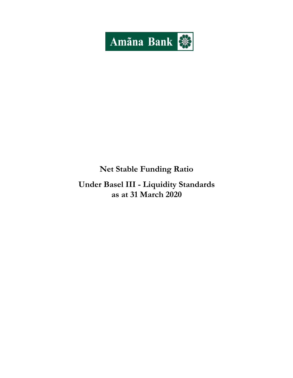

# **Net Stable Funding Ratio**

# **Under Basel III - Liquidity Standards as at 31 March 2020**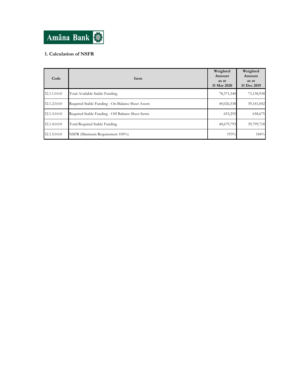

## **1. Calculation of NSFR**

| Code         | Item                                              | Weighted<br>Amount<br>as at<br>31 Mar 2020 | Weighted<br>Amount<br>as at<br>31 Dec 2019 |
|--------------|---------------------------------------------------|--------------------------------------------|--------------------------------------------|
| 32.1.1.0.0.0 | Total Available Stable Funding                    | 78,371,540                                 | 73,138,938                                 |
| 32.1.2.0.0.0 | Required Stable Funding - On Balance Sheet Assets | 40,026,538                                 | 39,141,042                                 |
| 32.1.3.0.0.0 | Required Stable Funding - Off Balance Sheet Items | 653,255                                    | 658,675                                    |
| 32.1.4.0.0.0 | Total Required Stable Funding                     | 40,679,793                                 | 39,799,718                                 |
| 32.1.5.0.0.0 | NSFR (Minimum Requirement 100%)                   | 193%                                       | 184%                                       |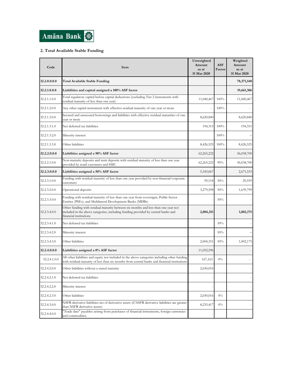

### **2. Total Available Stable Funding**

| Code         | Item                                                                                                                                                                                              | Unweighted<br>Amount<br>as at<br>31 Mar 2020 | <b>ASF</b><br>Factor | Weighted<br>Amount<br>as at<br>31 Mar 2020 |
|--------------|---------------------------------------------------------------------------------------------------------------------------------------------------------------------------------------------------|----------------------------------------------|----------------------|--------------------------------------------|
| 32.2.0.0.0.0 | <b>Total Available Stable Funding</b>                                                                                                                                                             |                                              |                      | 78,371,540                                 |
| 32.2.1.0.0.0 | Liabilities and capital assigned a 100% ASF factor                                                                                                                                                |                                              |                      | 19,661,306                                 |
| 32.2.1.1.0.0 | Total regulatory capital before capital deductions (excluding Tier 2 instruments with<br>residual maturity of less than one year)                                                                 | 11,040,467                                   | 100%                 | 11,040,467                                 |
| 32.2.1.2.0.0 | Any other capital instrument with effective residual maturity of one year or more                                                                                                                 |                                              | 100%                 |                                            |
| 32.2.1.3.0.0 | Secured and unsecured borrowings and liabilities with effective residual maturities of one<br>vear or more                                                                                        | 8,620,840                                    |                      | 8,620,840                                  |
| 32.2.1.3.1.0 | Net deferred tax liabilities                                                                                                                                                                      | 194,315                                      | 100%                 | 194,315                                    |
| 32.2.1.3.2.0 | Minority interest                                                                                                                                                                                 |                                              | 100%                 |                                            |
| 32.2.1.3.3.0 | Other liabilities                                                                                                                                                                                 | 8,426,525                                    | 100%                 | 8,426,525                                  |
| 32.2.2.0.0.0 | Liabilities assigned a 90% ASF factor                                                                                                                                                             | 62,265,222                                   |                      | 56,038,700                                 |
| 32.2.2.1.0.0 | Non-maturity deposits and term deposits with residual maturity of less than one year<br>provided by retail customers and SME                                                                      | 62,265,222                                   | 90%                  | 56,038,700                                 |
| 32.2.3.0.0.0 | Liabilities assigned a 50% ASF factor                                                                                                                                                             | 5,343,067                                    |                      | 2,671,533                                  |
| 32.2.3.1.0.0 | Funding with residual maturity of less than one year provided by non-financial corporate<br>customers                                                                                             | 59,118                                       | 50%                  | 29,559                                     |
| 32.2.3.2.0.0 | Operational deposits                                                                                                                                                                              | 3,279,598                                    | 50%                  | 1,639,799                                  |
| 32.2.3.3.0.0 | Funding with residual maturity of less than one year from sovereigns, Public Sector<br>Entities (PSEs), and Multilateral Development Banks (MDBs)                                                 |                                              | 50%                  |                                            |
| 32.2.3.4.0.0 | Other funding with residual maturity between six months and less than one year not<br>included in the above categories, including funding provided by central banks and<br>financial institutions | 2,004,351                                    |                      | 1,002,175                                  |
| 32.2.3.4.1.0 | Net deferred tax liabilities                                                                                                                                                                      |                                              | 50%                  |                                            |
| 32.2.3.4.2.0 | Minority interest                                                                                                                                                                                 |                                              | 50%                  |                                            |
| 32.2.3.4.3.0 | Other liabilities                                                                                                                                                                                 | 2,004,351                                    | 50%                  | 1,002,175                                  |
| 32.2.4.0.0.0 | Liabilities assigned a 0% ASF factor                                                                                                                                                              | 11,052,596                                   |                      |                                            |
| 32.2.4.1.0.0 | All other liabilities and equity not included in the above categories including other funding<br>with residual maturity of less than six months from central banks and financial institutions     | 167,163                                      | 0%                   |                                            |
| 32.2.4.2.0.0 | Other liabilities without a stated maturity                                                                                                                                                       | 2,650,016                                    |                      |                                            |
| 32.2.4.2.1.0 | Net deferred tax liabilities                                                                                                                                                                      |                                              |                      |                                            |
| 32.2.4.2.2.0 | Minority interest                                                                                                                                                                                 |                                              |                      |                                            |
| 32.2.4.2.3.0 | Other liabilities                                                                                                                                                                                 | 2,650,016                                    | $0\%$                |                                            |
| 32.2.4.3.0.0 | NSFR derivative liabilities net of derivative assets (if NSFR derivative liabilities are greater<br>than NSFR derivative assets)                                                                  | 8,235,417                                    | $0\%$                |                                            |
| 32.2.4.4.0.0 | "Trade date" payables arising from purchases of financial instruments, foreign currencies<br>and commodities                                                                                      |                                              |                      |                                            |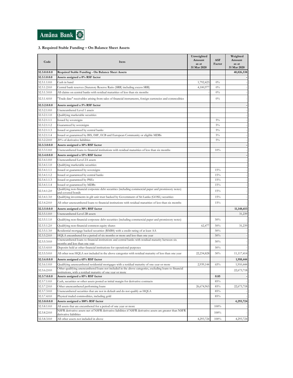

### **3. Required Stable Funding – On Balance Sheet Assets**

| Code         | Item                                                                                                                                                                 | Unweighted      |                      | Weighted        |
|--------------|----------------------------------------------------------------------------------------------------------------------------------------------------------------------|-----------------|----------------------|-----------------|
|              |                                                                                                                                                                      | Amount<br>as at | <b>ASF</b><br>Factor | Amount<br>as at |
|              |                                                                                                                                                                      | 31 Mar 2020     |                      | 31 Mar 2020     |
| 32.3.0.0.0.0 | Required Stable Funding - On Balance Sheet Assets                                                                                                                    |                 |                      | 40,026,538      |
| 32.3.1.0.0.0 | Assets assigned a 0% RSF factor                                                                                                                                      |                 |                      |                 |
| 32.3.1.1.0.0 | Cash in hand                                                                                                                                                         | 1,792,423       | $0\%$                |                 |
| 32.3.1.2.0.0 | Central bank reserves (Statutory Reserve Ratio (SRR) including excess SRR)                                                                                           | 4,100,977       | $0\%$                |                 |
| 32.3.1.3.0.0 | All claims on central banks with residual maturities of less than six months                                                                                         |                 | $0\%$                |                 |
| 32.3.1.4.0.0 | "Trade date" receivables arising from sales of financial instruments, foreign currencies and commodities                                                             |                 | $0\%$                |                 |
| 32.3.2.0.0.0 | Assets assigned a 5% RSF factor                                                                                                                                      |                 |                      |                 |
| 32.3.2.1.0.0 | Unencumbered Level 1 assets                                                                                                                                          |                 |                      |                 |
| 32.3.2.1.1.0 | Qualifying marketable securities                                                                                                                                     |                 |                      |                 |
| 32.3.2.1.1.1 | Issued by sovereigns                                                                                                                                                 |                 | $5\%$                |                 |
| 32.3.2.1.1.2 | Guaranteed by sovereigns                                                                                                                                             |                 | $5\%$                |                 |
| 32.3.2.1.1.3 | Issued or guaranteed by central banks                                                                                                                                |                 | $5\%$                |                 |
| 32.3.2.1.1.4 | Issued or guaranteed by BIS, IMF, ECB and European Community or eligible MDBs                                                                                        |                 | $5\%$                |                 |
| 32.3.2.2.0.0 | 20% of derivative liabilities                                                                                                                                        |                 | $5\%$                |                 |
| 32.3.3.0.0.0 | Assets assigned a 10% RSF factor                                                                                                                                     |                 |                      |                 |
| 32.3.3.1.0.0 | Unencumbered loans to financial institutions with residual maturities of less than six months                                                                        |                 | 10%                  |                 |
| 32.3.4.0.0.0 | Assets assigned a 15% RSF factor                                                                                                                                     |                 |                      |                 |
| 32.3.4.1.0.0 | Unencumbered Level 2A assets                                                                                                                                         |                 |                      |                 |
| 32.3.4.1.1.0 | Qualifying marketable securities                                                                                                                                     |                 |                      |                 |
| 32.3.4.1.1.1 | Issued or guaranteed by sovereigns                                                                                                                                   |                 | 15%                  |                 |
| 32.3.4.1.1.2 | Issued or guaranteed by central banks                                                                                                                                |                 | 15%                  |                 |
| 32.3.4.1.1.3 | Issued or guaranteed by PSEs                                                                                                                                         |                 | 15%                  |                 |
| 32.3.4.1.1.4 | Issued or guaranteed by MDBs                                                                                                                                         |                 | 15%                  |                 |
| 32.3.4.1.2.0 | Qualifying non-financial corporate debt securities (including commercial paper and promissory notes)<br>und covered bonds                                            |                 | 15%                  |                 |
| 32.3.4.1.3.0 | Qualifying investments in gilt unit trust backed by Government of Sri Lanka (GOSL) securities                                                                        |                 | 15%                  |                 |
| 32.3.4.2.0.0 | All other unencumbered loans to financial institutions with residual maturities of less than six months                                                              |                 | 15%                  |                 |
| 32.3.5.0.0.0 | Assets assigned a 50% RSF factor                                                                                                                                     |                 |                      | 11,148,653      |
| 32.3.5.1.0.0 | Unencumbered Level 2B assets                                                                                                                                         |                 |                      | 31,239          |
| 32.3.5.1.1.0 | Qualifying non-financial corporate debt securities (including commercial paper and promissory notes)                                                                 |                 | 50%                  |                 |
| 32.3.5.1.2.0 | Qualifying non-financial common equity shares                                                                                                                        | 62,477          | 50%                  | 31,239          |
| 32.3.5.1.3.0 | Residential mortgage backed securities (RMBS) with a credit rating of at least AA                                                                                    |                 | 50%                  |                 |
| 32.3.5.2.0.0 | HQLA encumbered for a period of six months or more and less than one year                                                                                            |                 | 50%                  |                 |
| 32.3.5.3.0.0 | Unencumbered loans to financial institutions and central banks with residual maturity between six<br>months and less than one year                                   |                 | 50%                  |                 |
| 32.3.5.4.0.0 | Deposits held at other financial institutions for operational purposes                                                                                               |                 | 50%                  |                 |
| 32.3.5.5.0.0 | All other non HQLA not included in the above categories with residual maturity of less than one year                                                                 | 22,234,828      | 50%                  | 11,117,414      |
| 32.3.6.0.0.0 | Assets assigned a 65% RSF factor                                                                                                                                     |                 |                      | 1,910,444       |
| 32.3.6.1.0.0 | Qualifying unencumbered residential mortgages with a residual maturity of one year or more                                                                           | 2,939,144       | 65%                  | 1,910,444       |
| 32.3.6.2.0.0 | Other qualifying unencumbered loans not included in the above categories, excluding loans to financial<br>institutions, with a residual maturity of one year or more |                 |                      | 22,673,718      |
| 32.3.7.0.0.0 | Assets assigned a 85% RSF factor                                                                                                                                     |                 | 0.85                 |                 |
| 32.3.7.1.0.0 | Cash, securities or other assets posted as initial margin for derivative contracts                                                                                   |                 | 85%                  |                 |
| 32.3.7.2.0.0 | Other unencumbered performing loans                                                                                                                                  | 26,674,963      | 85%                  | 22,673,718      |
| 32.3.7.3.0.0 | Unencumbered securities that are not in default and do not qualify as HQLA                                                                                           |                 | 85%                  |                 |
| 32.3.7.4.0.0 | Physical traded commodities, including gold                                                                                                                          |                 | 85%                  |                 |
| 32.3.8.0.0.0 | Assets assigned a 100% RSF factor                                                                                                                                    |                 |                      | 4,293,724       |
| 32.3.8.1.0.0 | All assets that are encumbered for a period of one year or more                                                                                                      |                 | 100%                 |                 |
| 32.3.8.2.0.0 | NSFR derivative assets net of NSFR derivative liabilities if NSFR derivative assets are greater than NSFR<br>derivative liabilities                                  |                 | 100%                 |                 |
| 32.3.8.3.0.0 | All other assets not included in above                                                                                                                               | 4,293,724       | 100%                 | 4,293,724       |